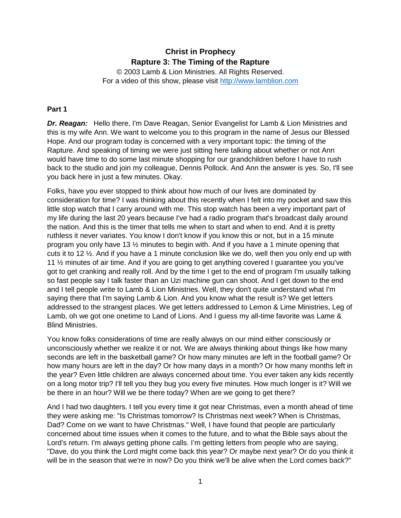# **Christ in Prophecy Rapture 3: The Timing of the Rapture**

© 2003 Lamb & Lion Ministries. All Rights Reserved. For a video of this show, please visit [http://www.lamblion.com](http://www.lamblion.com/)

## **Part 1**

*Dr. Reagan:* Hello there, I'm Dave Reagan, Senior Evangelist for Lamb & Lion Ministries and this is my wife Ann. We want to welcome you to this program in the name of Jesus our Blessed Hope. And our program today is concerned with a very important topic: the timing of the Rapture. And speaking of timing we were just sitting here talking about whether or not Ann would have time to do some last minute shopping for our grandchildren before I have to rush back to the studio and join my colleague, Dennis Pollock. And Ann the answer is yes. So, I'll see you back here in just a few minutes. Okay.

Folks, have you ever stopped to think about how much of our lives are dominated by consideration for time? I was thinking about this recently when I felt into my pocket and saw this little stop watch that I carry around with me. This stop watch has been a very important part of my life during the last 20 years because I've had a radio program that's broadcast daily around the nation. And this is the timer that tells me when to start and when to end. And it is pretty ruthless it never variates. You know I don't know if you know this or not, but in a 15 minute program you only have 13 ½ minutes to begin with. And if you have a 1 minute opening that cuts it to 12 ½. And if you have a 1 minute conclusion like we do, well then you only end up with 11 ½ minutes of air time. And if you are going to get anything covered I guarantee you you've got to get cranking and really roll. And by the time I get to the end of program I'm usually talking so fast people say I talk faster than an Uzi machine gun can shoot. And I get down to the end and I tell people write to Lamb & Lion Ministries. Well, they don't quite understand what I'm saying there that I'm saying Lamb & Lion. And you know what the result is? We get letters addressed to the strangest places. We get letters addressed to Lemon & Lime Ministries, Leg of Lamb, oh we got one onetime to Land of Lions. And I guess my all-time favorite was Lame & Blind Ministries.

You know folks considerations of time are really always on our mind either consciously or unconsciously whether we realize it or not. We are always thinking about things like how many seconds are left in the basketball game? Or how many minutes are left in the football game? Or how many hours are left in the day? Or how many days in a month? Or how many months left in the year? Even little children are always concerned about time. You ever taken any kids recently on a long motor trip? I'll tell you they bug you every five minutes. How much longer is it? Will we be there in an hour? Will we be there today? When are we going to get there?

And I had two daughters. I tell you every time it got near Christmas, even a month ahead of time they were asking me: "Is Christmas tomorrow? Is Christmas next week? When is Christmas, Dad? Come on we want to have Christmas." Well, I have found that people are particularly concerned about time issues when it comes to the future, and to what the Bible says about the Lord's return. I'm always getting phone calls. I'm getting letters from people who are saying, "Dave, do you think the Lord might come back this year? Or maybe next year? Or do you think it will be in the season that we're in now? Do you think we'll be alive when the Lord comes back?"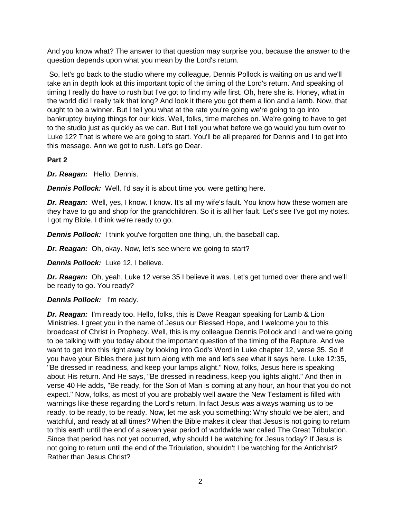And you know what? The answer to that question may surprise you, because the answer to the question depends upon what you mean by the Lord's return.

So, let's go back to the studio where my colleague, Dennis Pollock is waiting on us and we'll take an in depth look at this important topic of the timing of the Lord's return. And speaking of timing I really do have to rush but I've got to find my wife first. Oh, here she is. Honey, what in the world did I really talk that long? And look it there you got them a lion and a lamb. Now, that ought to be a winner. But I tell you what at the rate you're going we're going to go into bankruptcy buying things for our kids. Well, folks, time marches on. We're going to have to get to the studio just as quickly as we can. But I tell you what before we go would you turn over to Luke 12? That is where we are going to start. You'll be all prepared for Dennis and I to get into this message. Ann we got to rush. Let's go Dear.

### **Part 2**

*Dr. Reagan:* Hello, Dennis.

*Dennis Pollock:* Well, I'd say it is about time you were getting here.

**Dr. Reagan:** Well, yes, I know. I know. It's all my wife's fault. You know how these women are they have to go and shop for the grandchildren. So it is all her fault. Let's see I've got my notes. I got my Bible. I think we're ready to go.

*Dennis Pollock:* I think you've forgotten one thing, uh, the baseball cap.

*Dr. Reagan:* Oh, okay. Now, let's see where we going to start?

**Dennis Pollock:** Luke 12, I believe.

*Dr. Reagan:* Oh, yeah, Luke 12 verse 35 I believe it was. Let's get turned over there and we'll be ready to go. You ready?

### *Dennis Pollock:* I'm ready.

*Dr. Reagan:* I'm ready too. Hello, folks, this is Dave Reagan speaking for Lamb & Lion Ministries. I greet you in the name of Jesus our Blessed Hope, and I welcome you to this broadcast of Christ in Prophecy. Well, this is my colleague Dennis Pollock and I and we're going to be talking with you today about the important question of the timing of the Rapture. And we want to get into this right away by looking into God's Word in Luke chapter 12, verse 35. So if you have your Bibles there just turn along with me and let's see what it says here. Luke 12:35, "Be dressed in readiness, and keep your lamps alight." Now, folks, Jesus here is speaking about His return. And He says, "Be dressed in readiness, keep you lights alight." And then in verse 40 He adds, "Be ready, for the Son of Man is coming at any hour, an hour that you do not expect." Now, folks, as most of you are probably well aware the New Testament is filled with warnings like these regarding the Lord's return. In fact Jesus was always warning us to be ready, to be ready, to be ready. Now, let me ask you something: Why should we be alert, and watchful, and ready at all times? When the Bible makes it clear that Jesus is not going to return to this earth until the end of a seven year period of worldwide war called The Great Tribulation. Since that period has not yet occurred, why should I be watching for Jesus today? If Jesus is not going to return until the end of the Tribulation, shouldn't I be watching for the Antichrist? Rather than Jesus Christ?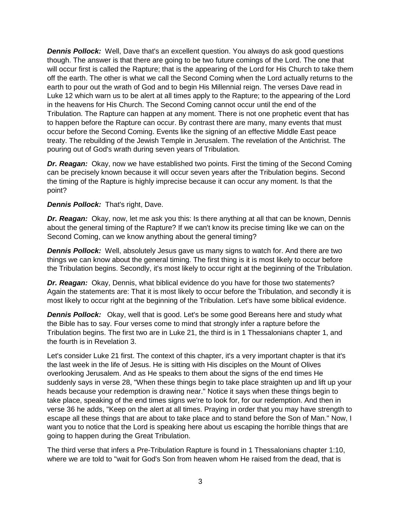**Dennis Pollock:** Well, Dave that's an excellent question. You always do ask good questions though. The answer is that there are going to be two future comings of the Lord. The one that will occur first is called the Rapture; that is the appearing of the Lord for His Church to take them off the earth. The other is what we call the Second Coming when the Lord actually returns to the earth to pour out the wrath of God and to begin His Millennial reign. The verses Dave read in Luke 12 which warn us to be alert at all times apply to the Rapture; to the appearing of the Lord in the heavens for His Church. The Second Coming cannot occur until the end of the Tribulation. The Rapture can happen at any moment. There is not one prophetic event that has to happen before the Rapture can occur. By contrast there are many, many events that must occur before the Second Coming. Events like the signing of an effective Middle East peace treaty. The rebuilding of the Jewish Temple in Jerusalem. The revelation of the Antichrist. The pouring out of God's wrath during seven years of Tribulation.

*Dr. Reagan:* Okay, now we have established two points. First the timing of the Second Coming can be precisely known because it will occur seven years after the Tribulation begins. Second the timing of the Rapture is highly imprecise because it can occur any moment. Is that the point?

### *Dennis Pollock:* That's right, Dave.

*Dr. Reagan:* Okay, now, let me ask you this: Is there anything at all that can be known, Dennis about the general timing of the Rapture? If we can't know its precise timing like we can on the Second Coming, can we know anything about the general timing?

**Dennis Pollock:** Well, absolutely Jesus gave us many signs to watch for. And there are two things we can know about the general timing. The first thing is it is most likely to occur before the Tribulation begins. Secondly, it's most likely to occur right at the beginning of the Tribulation.

*Dr. Reagan:* Okay, Dennis, what biblical evidence do you have for those two statements? Again the statements are: That it is most likely to occur before the Tribulation, and secondly it is most likely to occur right at the beginning of the Tribulation. Let's have some biblical evidence.

**Dennis Pollock:** Okay, well that is good. Let's be some good Bereans here and study what the Bible has to say. Four verses come to mind that strongly infer a rapture before the Tribulation begins. The first two are in Luke 21, the third is in 1 Thessalonians chapter 1, and the fourth is in Revelation 3.

Let's consider Luke 21 first. The context of this chapter, it's a very important chapter is that it's the last week in the life of Jesus. He is sitting with His disciples on the Mount of Olives overlooking Jerusalem. And as He speaks to them about the signs of the end times He suddenly says in verse 28, "When these things begin to take place straighten up and lift up your heads because your redemption is drawing near." Notice it says when these things begin to take place, speaking of the end times signs we're to look for, for our redemption. And then in verse 36 he adds, "Keep on the alert at all times. Praying in order that you may have strength to escape all these things that are about to take place and to stand before the Son of Man." Now, I want you to notice that the Lord is speaking here about us escaping the horrible things that are going to happen during the Great Tribulation.

The third verse that infers a Pre-Tribulation Rapture is found in 1 Thessalonians chapter 1:10, where we are told to "wait for God's Son from heaven whom He raised from the dead, that is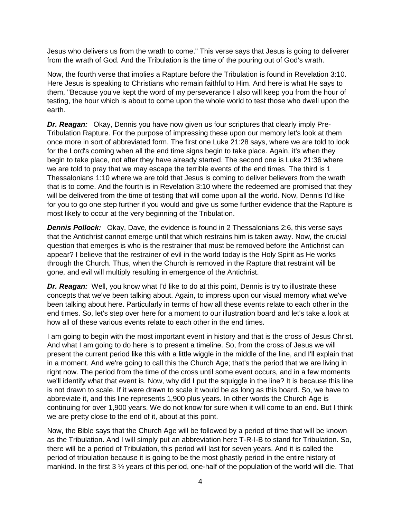Jesus who delivers us from the wrath to come." This verse says that Jesus is going to deliverer from the wrath of God. And the Tribulation is the time of the pouring out of God's wrath.

Now, the fourth verse that implies a Rapture before the Tribulation is found in Revelation 3:10. Here Jesus is speaking to Christians who remain faithful to Him. And here is what He says to them, "Because you've kept the word of my perseverance I also will keep you from the hour of testing, the hour which is about to come upon the whole world to test those who dwell upon the earth.

*Dr. Reagan:* Okay, Dennis you have now given us four scriptures that clearly imply Pre-Tribulation Rapture. For the purpose of impressing these upon our memory let's look at them once more in sort of abbreviated form. The first one Luke 21:28 says, where we are told to look for the Lord's coming when all the end time signs begin to take place. Again, it's when they begin to take place, not after they have already started. The second one is Luke 21:36 where we are told to pray that we may escape the terrible events of the end times. The third is 1 Thessalonians 1:10 where we are told that Jesus is coming to deliver believers from the wrath that is to come. And the fourth is in Revelation 3:10 where the redeemed are promised that they will be delivered from the time of testing that will come upon all the world. Now, Dennis I'd like for you to go one step further if you would and give us some further evidence that the Rapture is most likely to occur at the very beginning of the Tribulation.

*Dennis Pollock:* Okay, Dave, the evidence is found in 2 Thessalonians 2:6, this verse says that the Antichrist cannot emerge until that which restrains him is taken away. Now, the crucial question that emerges is who is the restrainer that must be removed before the Antichrist can appear? I believe that the restrainer of evil in the world today is the Holy Spirit as He works through the Church. Thus, when the Church is removed in the Rapture that restraint will be gone, and evil will multiply resulting in emergence of the Antichrist.

*Dr. Reagan:* Well, you know what I'd like to do at this point, Dennis is try to illustrate these concepts that we've been talking about. Again, to impress upon our visual memory what we've been talking about here. Particularly in terms of how all these events relate to each other in the end times. So, let's step over here for a moment to our illustration board and let's take a look at how all of these various events relate to each other in the end times.

I am going to begin with the most important event in history and that is the cross of Jesus Christ. And what I am going to do here is to present a timeline. So, from the cross of Jesus we will present the current period like this with a little wiggle in the middle of the line, and I'll explain that in a moment. And we're going to call this the Church Age; that's the period that we are living in right now. The period from the time of the cross until some event occurs, and in a few moments we'll identify what that event is. Now, why did I put the squiggle in the line? It is because this line is not drawn to scale. If it were drawn to scale it would be as long as this board. So, we have to abbreviate it, and this line represents 1,900 plus years. In other words the Church Age is continuing for over 1,900 years. We do not know for sure when it will come to an end. But I think we are pretty close to the end of it, about at this point.

Now, the Bible says that the Church Age will be followed by a period of time that will be known as the Tribulation. And I will simply put an abbreviation here T-R-I-B to stand for Tribulation. So, there will be a period of Tribulation, this period will last for seven years. And it is called the period of tribulation because it is going to be the most ghastly period in the entire history of mankind. In the first 3 ½ years of this period, one-half of the population of the world will die. That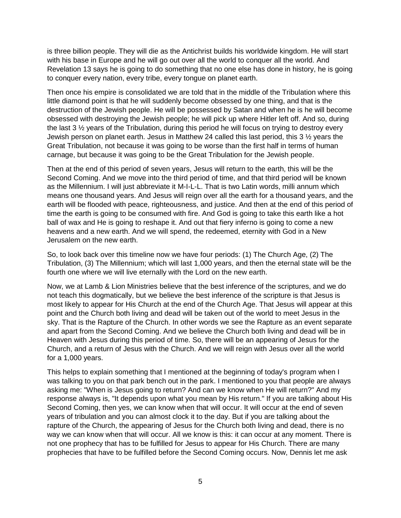is three billion people. They will die as the Antichrist builds his worldwide kingdom. He will start with his base in Europe and he will go out over all the world to conquer all the world. And Revelation 13 says he is going to do something that no one else has done in history, he is going to conquer every nation, every tribe, every tongue on planet earth.

Then once his empire is consolidated we are told that in the middle of the Tribulation where this little diamond point is that he will suddenly become obsessed by one thing, and that is the destruction of the Jewish people. He will be possessed by Satan and when he is he will become obsessed with destroying the Jewish people; he will pick up where Hitler left off. And so, during the last 3 ½ years of the Tribulation, during this period he will focus on trying to destroy every Jewish person on planet earth. Jesus in Matthew 24 called this last period, this 3 ½ years the Great Tribulation, not because it was going to be worse than the first half in terms of human carnage, but because it was going to be the Great Tribulation for the Jewish people.

Then at the end of this period of seven years, Jesus will return to the earth, this will be the Second Coming. And we move into the third period of time, and that third period will be known as the Millennium. I will just abbreviate it M-I-L-L. That is two Latin words, milli annum which means one thousand years. And Jesus will reign over all the earth for a thousand years, and the earth will be flooded with peace, righteousness, and justice. And then at the end of this period of time the earth is going to be consumed with fire. And God is going to take this earth like a hot ball of wax and He is going to reshape it. And out that fiery inferno is going to come a new heavens and a new earth. And we will spend, the redeemed, eternity with God in a New Jerusalem on the new earth.

So, to look back over this timeline now we have four periods: (1) The Church Age, (2) The Tribulation, (3) The Millennium; which will last 1,000 years, and then the eternal state will be the fourth one where we will live eternally with the Lord on the new earth.

Now, we at Lamb & Lion Ministries believe that the best inference of the scriptures, and we do not teach this dogmatically, but we believe the best inference of the scripture is that Jesus is most likely to appear for His Church at the end of the Church Age. That Jesus will appear at this point and the Church both living and dead will be taken out of the world to meet Jesus in the sky. That is the Rapture of the Church. In other words we see the Rapture as an event separate and apart from the Second Coming. And we believe the Church both living and dead will be in Heaven with Jesus during this period of time. So, there will be an appearing of Jesus for the Church, and a return of Jesus with the Church. And we will reign with Jesus over all the world for a 1,000 years.

This helps to explain something that I mentioned at the beginning of today's program when I was talking to you on that park bench out in the park. I mentioned to you that people are always asking me: "When is Jesus going to return? And can we know when He will return?" And my response always is, "It depends upon what you mean by His return." If you are talking about His Second Coming, then yes, we can know when that will occur. It will occur at the end of seven years of tribulation and you can almost clock it to the day. But if you are talking about the rapture of the Church, the appearing of Jesus for the Church both living and dead, there is no way we can know when that will occur. All we know is this: it can occur at any moment. There is not one prophecy that has to be fulfilled for Jesus to appear for His Church. There are many prophecies that have to be fulfilled before the Second Coming occurs. Now, Dennis let me ask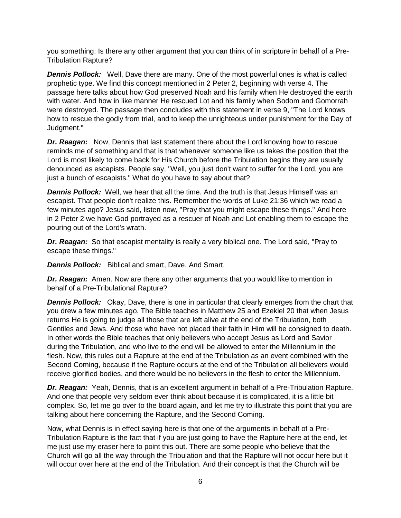you something: Is there any other argument that you can think of in scripture in behalf of a Pre-Tribulation Rapture?

*Dennis Pollock:* Well, Dave there are many. One of the most powerful ones is what is called prophetic type. We find this concept mentioned in 2 Peter 2, beginning with verse 4. The passage here talks about how God preserved Noah and his family when He destroyed the earth with water. And how in like manner He rescued Lot and his family when Sodom and Gomorrah were destroyed. The passage then concludes with this statement in verse 9, "The Lord knows how to rescue the godly from trial, and to keep the unrighteous under punishment for the Day of Judgment."

*Dr. Reagan:* Now, Dennis that last statement there about the Lord knowing how to rescue reminds me of something and that is that whenever someone like us takes the position that the Lord is most likely to come back for His Church before the Tribulation begins they are usually denounced as escapists. People say, "Well, you just don't want to suffer for the Lord, you are just a bunch of escapists." What do you have to say about that?

*Dennis Pollock:* Well, we hear that all the time. And the truth is that Jesus Himself was an escapist. That people don't realize this. Remember the words of Luke 21:36 which we read a few minutes ago? Jesus said, listen now, "Pray that you might escape these things." And here in 2 Peter 2 we have God portrayed as a rescuer of Noah and Lot enabling them to escape the pouring out of the Lord's wrath.

*Dr. Reagan:* So that escapist mentality is really a very biblical one. The Lord said, "Pray to escape these things."

*Dennis Pollock:* Biblical and smart, Dave. And Smart.

*Dr. Reagan:* Amen. Now are there any other arguments that you would like to mention in behalf of a Pre-Tribulational Rapture?

**Dennis Pollock:** Okay, Dave, there is one in particular that clearly emerges from the chart that you drew a few minutes ago. The Bible teaches in Matthew 25 and Ezekiel 20 that when Jesus returns He is going to judge all those that are left alive at the end of the Tribulation, both Gentiles and Jews. And those who have not placed their faith in Him will be consigned to death. In other words the Bible teaches that only believers who accept Jesus as Lord and Savior during the Tribulation, and who live to the end will be allowed to enter the Millennium in the flesh. Now, this rules out a Rapture at the end of the Tribulation as an event combined with the Second Coming, because if the Rapture occurs at the end of the Tribulation all believers would receive glorified bodies, and there would be no believers in the flesh to enter the Millennium.

*Dr. Reagan:* Yeah, Dennis, that is an excellent argument in behalf of a Pre-Tribulation Rapture. And one that people very seldom ever think about because it is complicated, it is a little bit complex. So, let me go over to the board again, and let me try to illustrate this point that you are talking about here concerning the Rapture, and the Second Coming.

Now, what Dennis is in effect saying here is that one of the arguments in behalf of a Pre-Tribulation Rapture is the fact that if you are just going to have the Rapture here at the end, let me just use my eraser here to point this out. There are some people who believe that the Church will go all the way through the Tribulation and that the Rapture will not occur here but it will occur over here at the end of the Tribulation. And their concept is that the Church will be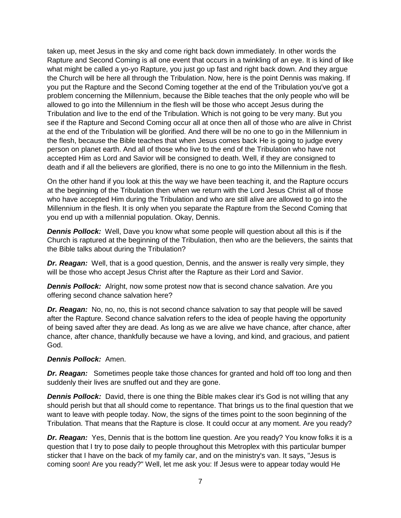taken up, meet Jesus in the sky and come right back down immediately. In other words the Rapture and Second Coming is all one event that occurs in a twinkling of an eye. It is kind of like what might be called a yo-yo Rapture, you just go up fast and right back down. And they argue the Church will be here all through the Tribulation. Now, here is the point Dennis was making. If you put the Rapture and the Second Coming together at the end of the Tribulation you've got a problem concerning the Millennium, because the Bible teaches that the only people who will be allowed to go into the Millennium in the flesh will be those who accept Jesus during the Tribulation and live to the end of the Tribulation. Which is not going to be very many. But you see if the Rapture and Second Coming occur all at once then all of those who are alive in Christ at the end of the Tribulation will be glorified. And there will be no one to go in the Millennium in the flesh, because the Bible teaches that when Jesus comes back He is going to judge every person on planet earth. And all of those who live to the end of the Tribulation who have not accepted Him as Lord and Savior will be consigned to death. Well, if they are consigned to death and if all the believers are glorified, there is no one to go into the Millennium in the flesh.

On the other hand if you look at this the way we have been teaching it, and the Rapture occurs at the beginning of the Tribulation then when we return with the Lord Jesus Christ all of those who have accepted Him during the Tribulation and who are still alive are allowed to go into the Millennium in the flesh. It is only when you separate the Rapture from the Second Coming that you end up with a millennial population. Okay, Dennis.

**Dennis Pollock:** Well, Dave you know what some people will question about all this is if the Church is raptured at the beginning of the Tribulation, then who are the believers, the saints that the Bible talks about during the Tribulation?

*Dr. Reagan:* Well, that is a good question, Dennis, and the answer is really very simple, they will be those who accept Jesus Christ after the Rapture as their Lord and Savior.

*Dennis Pollock:* Alright, now some protest now that is second chance salvation. Are you offering second chance salvation here?

**Dr. Reagan:** No, no, no, this is not second chance salvation to say that people will be saved after the Rapture. Second chance salvation refers to the idea of people having the opportunity of being saved after they are dead. As long as we are alive we have chance, after chance, after chance, after chance, thankfully because we have a loving, and kind, and gracious, and patient God.

### *Dennis Pollock:* Amen.

*Dr. Reagan:* Sometimes people take those chances for granted and hold off too long and then suddenly their lives are snuffed out and they are gone.

**Dennis Pollock:** David, there is one thing the Bible makes clear it's God is not willing that any should perish but that all should come to repentance. That brings us to the final question that we want to leave with people today. Now, the signs of the times point to the soon beginning of the Tribulation. That means that the Rapture is close. It could occur at any moment. Are you ready?

*Dr. Reagan:* Yes, Dennis that is the bottom line question. Are you ready? You know folks it is a question that I try to pose daily to people throughout this Metroplex with this particular bumper sticker that I have on the back of my family car, and on the ministry's van. It says, "Jesus is coming soon! Are you ready?" Well, let me ask you: If Jesus were to appear today would He